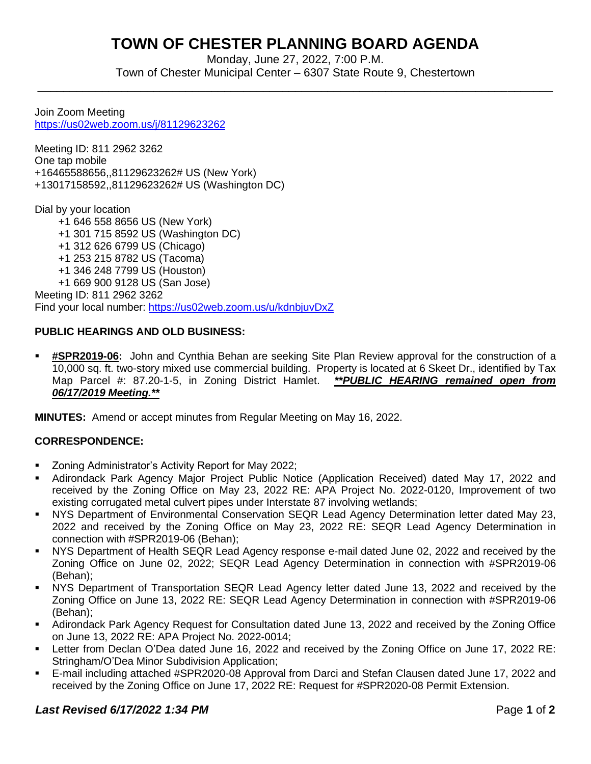# **TOWN OF CHESTER PLANNING BOARD AGENDA**

Monday, June 27, 2022, 7:00 P.M. Town of Chester Municipal Center – 6307 State Route 9, Chestertown

\_\_\_\_\_\_\_\_\_\_\_\_\_\_\_\_\_\_\_\_\_\_\_\_\_\_\_\_\_\_\_\_\_\_\_\_\_\_\_\_\_\_\_\_\_\_\_\_\_\_\_\_\_\_\_\_\_\_\_\_\_\_\_\_\_\_\_\_\_\_\_\_\_\_\_\_\_\_\_\_

Join Zoom Meeting <https://us02web.zoom.us/j/81129623262>

Meeting ID: 811 2962 3262 One tap mobile +16465588656,,81129623262# US (New York) +13017158592,,81129623262# US (Washington DC)

Dial by your location +1 646 558 8656 US (New York) +1 301 715 8592 US (Washington DC) +1 312 626 6799 US (Chicago) +1 253 215 8782 US (Tacoma) +1 346 248 7799 US (Houston) +1 669 900 9128 US (San Jose) Meeting ID: 811 2962 3262 Find your local number:<https://us02web.zoom.us/u/kdnbjuvDxZ>

## **PUBLIC HEARINGS AND OLD BUSINESS:**

▪ **#SPR2019-06:** John and Cynthia Behan are seeking Site Plan Review approval for the construction of a 10,000 sq. ft. two-story mixed use commercial building. Property is located at 6 Skeet Dr., identified by Tax Map Parcel #: 87.20-1-5, in Zoning District Hamlet. *\*\*PUBLIC HEARING remained open from 06/17/2019 Meeting.\*\**

**MINUTES:** Amend or accept minutes from Regular Meeting on May 16, 2022.

## **CORRESPONDENCE:**

- Zoning Administrator's Activity Report for May 2022;
- Adirondack Park Agency Major Project Public Notice (Application Received) dated May 17, 2022 and received by the Zoning Office on May 23, 2022 RE: APA Project No. 2022-0120, Improvement of two existing corrugated metal culvert pipes under Interstate 87 involving wetlands;
- NYS Department of Environmental Conservation SEQR Lead Agency Determination letter dated May 23, 2022 and received by the Zoning Office on May 23, 2022 RE: SEQR Lead Agency Determination in connection with #SPR2019-06 (Behan);
- NYS Department of Health SEQR Lead Agency response e-mail dated June 02, 2022 and received by the Zoning Office on June 02, 2022; SEQR Lead Agency Determination in connection with #SPR2019-06 (Behan);
- NYS Department of Transportation SEQR Lead Agency letter dated June 13, 2022 and received by the Zoning Office on June 13, 2022 RE: SEQR Lead Agency Determination in connection with #SPR2019-06 (Behan);
- Adirondack Park Agency Request for Consultation dated June 13, 2022 and received by the Zoning Office on June 13, 2022 RE: APA Project No. 2022-0014;
- Letter from Declan O'Dea dated June 16, 2022 and received by the Zoning Office on June 17, 2022 RE: Stringham/O'Dea Minor Subdivision Application;
- E-mail including attached #SPR2020-08 Approval from Darci and Stefan Clausen dated June 17, 2022 and received by the Zoning Office on June 17, 2022 RE: Request for #SPR2020-08 Permit Extension.

## **Last Revised 6/17/2022 1:34 PM Page 1** of 2